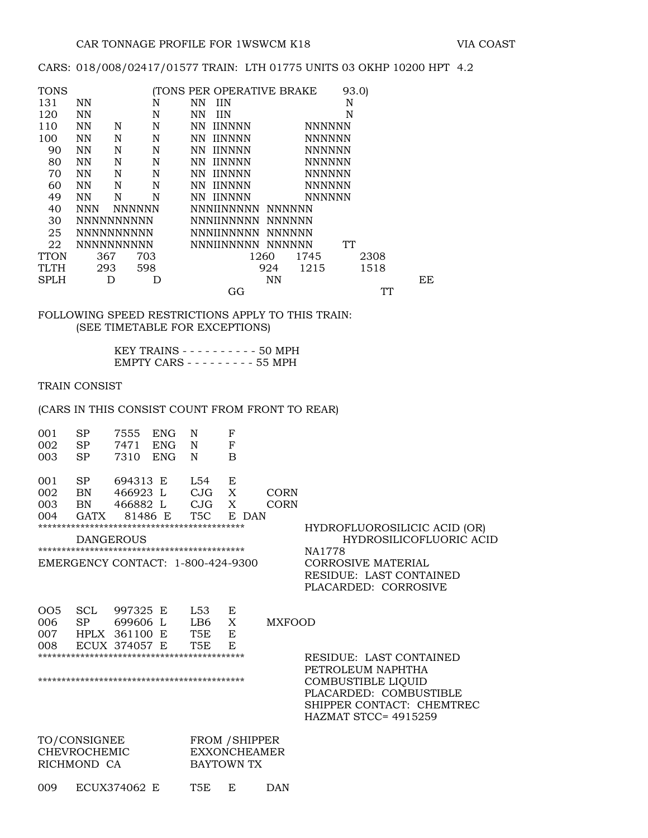## CARS: 018/008/02417/01577 TRAIN: LTH 01775 UNITS 03 OKHP 10200 HPT 4.2

| <b>TONS</b> |            |                   |               |           | TONS PER OPERATIVE BRAKE |           |               | 93.0) |      |    |
|-------------|------------|-------------------|---------------|-----------|--------------------------|-----------|---------------|-------|------|----|
| 131         | <b>NN</b>  |                   | N             | NΝ        | ΠN                       |           |               | N     |      |    |
| 120         | <b>NN</b>  |                   | N             | NN        | <b>IIN</b>               |           |               | N     |      |    |
| 110         | <b>NN</b>  | N                 | N             | NN        | <b>IINNNN</b>            |           | <b>NNNNNN</b> |       |      |    |
| 100         | <b>NN</b>  | N                 | N             | NN        | <b>IINNNN</b>            |           | <b>NNNNNN</b> |       |      |    |
| 90          | NN         | N                 | N             | NN        | <b>IINNNN</b>            |           | <b>NNNNNN</b> |       |      |    |
| 80          | <b>NN</b>  | N                 | N             | NN        | <b>IINNNN</b>            |           | <b>NNNNNN</b> |       |      |    |
| 70          | NN         | N                 | N             | <b>NN</b> | <b>IINNNN</b>            |           | <b>NNNNNN</b> |       |      |    |
| 60          | <b>NN</b>  | N                 | N             | NN.       | <b>IINNNN</b>            |           | <b>NNNNNN</b> |       |      |    |
| 49          | <b>NN</b>  | N                 | N             |           | NN IINNNN                |           | <b>NNNNNN</b> |       |      |    |
| 40          | <b>NNN</b> |                   | <b>NNNNNN</b> |           | <b>NNNIINNNNN</b>        |           | NNNNNN        |       |      |    |
| 30          |            | <b>NNNNNNNNNN</b> |               |           | <b>NNNIINNNNN</b>        |           | <b>NNNNNN</b> |       |      |    |
| 25          |            | <b>NNNNNNNNNN</b> |               |           | <b>NNNIINNNNN</b>        |           | <b>NNNNNN</b> |       |      |    |
| 22          |            | <b>NNNNNNNNNN</b> |               |           | <b>NNNIINNNNN</b>        |           | <b>NNNNNN</b> | TT    |      |    |
| <b>TTON</b> |            | 367               | 703           |           | 1260                     |           | 1745          |       | 2308 |    |
| TLTH        |            | 293               | 598           |           |                          | 924       | 1215          |       | 1518 |    |
| SPLH        |            | D                 | D             |           |                          | <b>NN</b> |               |       |      | ΕE |
|             |            |                   |               |           | GG                       |           |               |       | TT   |    |

### FOLLOWING SPEED RESTRICTIONS APPLY TO THIS TRAIN: (SEE TIMETABLE FOR EXCEPTIONS)

KEY TRAINS - - - - - - - - - - 50 MPH EMPTY CARS - - - - - - - - - 55 MPH

### TRAIN CONSIST

## (CARS IN THIS CONSIST COUNT FROM FRONT TO REAR)

| 001<br>002<br>003                                  | SP<br><b>SP</b><br><b>SP</b>                                                            | 7555<br>7471<br>7310                                            | <b>ENG</b><br><b>ENG</b><br><b>ENG</b> | N<br>$\mathbb N$<br>N                 | F<br>$\mathbf F$<br>B                                      |                            |                                                                                                                                                          |
|----------------------------------------------------|-----------------------------------------------------------------------------------------|-----------------------------------------------------------------|----------------------------------------|---------------------------------------|------------------------------------------------------------|----------------------------|----------------------------------------------------------------------------------------------------------------------------------------------------------|
| 001<br>002<br>003<br>004                           | <b>SP</b><br><b>BN</b><br><b>BN</b><br><b>GATX</b><br>EMERGENCY CONTACT: 1-800-424-9300 | 694313 E<br>466923 L<br>466882 L<br>81486 E<br><b>DANGEROUS</b> |                                        | L54<br>CJG<br>CJG<br>T <sub>5</sub> C | E<br>X<br>X<br>E DAN                                       | <b>CORN</b><br><b>CORN</b> | HYDROFLUOROSILICIC ACID (OR)<br>HYDROSILICOFLUORIC ACID<br>NA1778<br><b>CORROSIVE MATERIAL</b><br>RESIDUE: LAST CONTAINED<br>PLACARDED: CORROSIVE        |
| 005<br>006<br>007<br>008                           | <b>SCL</b><br><b>SP</b><br>HPLX                                                         | 997325 E<br>699606 L<br>361100<br>ECUX 374057 E                 | E                                      | L53<br>LB6<br>T5E<br>T <sub>5</sub> E | Ε<br>X<br>E<br>F.                                          | <b>MXFOOD</b>              | RESIDUE: LAST CONTAINED<br>PETROLEUM NAPHTHA<br><b>COMBUSTIBLE LIQUID</b><br>PLACARDED: COMBUSTIBLE<br>SHIPPER CONTACT: CHEMTREC<br>HAZMAT STCC= 4915259 |
| TO/CONSIGNEE<br><b>CHEVROCHEMIC</b><br>RICHMOND CA |                                                                                         |                                                                 |                                        |                                       | FROM / SHIPPER<br><b>EXXONCHEAMER</b><br><b>BAYTOWN TX</b> |                            |                                                                                                                                                          |
| 009                                                |                                                                                         | ECUX374062 E                                                    |                                        | T5E                                   | E                                                          | DAN                        |                                                                                                                                                          |